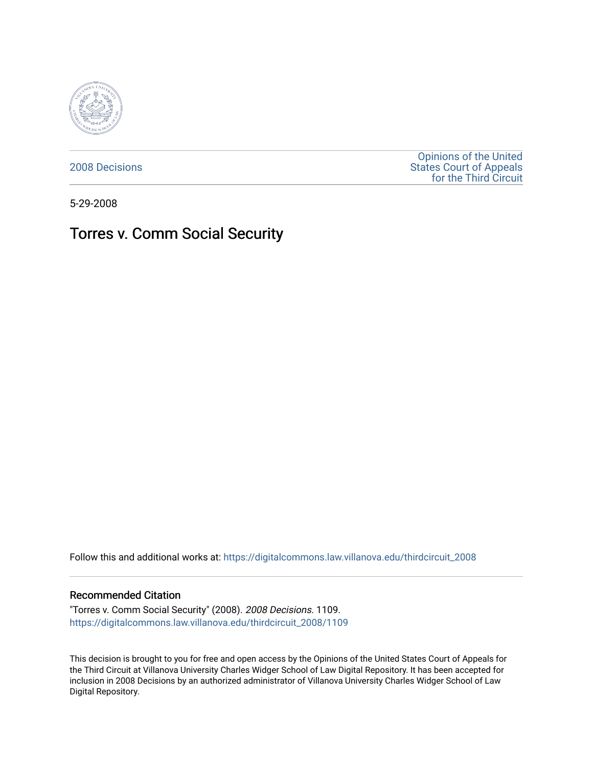

[2008 Decisions](https://digitalcommons.law.villanova.edu/thirdcircuit_2008)

[Opinions of the United](https://digitalcommons.law.villanova.edu/thirdcircuit)  [States Court of Appeals](https://digitalcommons.law.villanova.edu/thirdcircuit)  [for the Third Circuit](https://digitalcommons.law.villanova.edu/thirdcircuit) 

5-29-2008

# Torres v. Comm Social Security

Follow this and additional works at: [https://digitalcommons.law.villanova.edu/thirdcircuit\\_2008](https://digitalcommons.law.villanova.edu/thirdcircuit_2008?utm_source=digitalcommons.law.villanova.edu%2Fthirdcircuit_2008%2F1109&utm_medium=PDF&utm_campaign=PDFCoverPages) 

### Recommended Citation

"Torres v. Comm Social Security" (2008). 2008 Decisions. 1109. [https://digitalcommons.law.villanova.edu/thirdcircuit\\_2008/1109](https://digitalcommons.law.villanova.edu/thirdcircuit_2008/1109?utm_source=digitalcommons.law.villanova.edu%2Fthirdcircuit_2008%2F1109&utm_medium=PDF&utm_campaign=PDFCoverPages) 

This decision is brought to you for free and open access by the Opinions of the United States Court of Appeals for the Third Circuit at Villanova University Charles Widger School of Law Digital Repository. It has been accepted for inclusion in 2008 Decisions by an authorized administrator of Villanova University Charles Widger School of Law Digital Repository.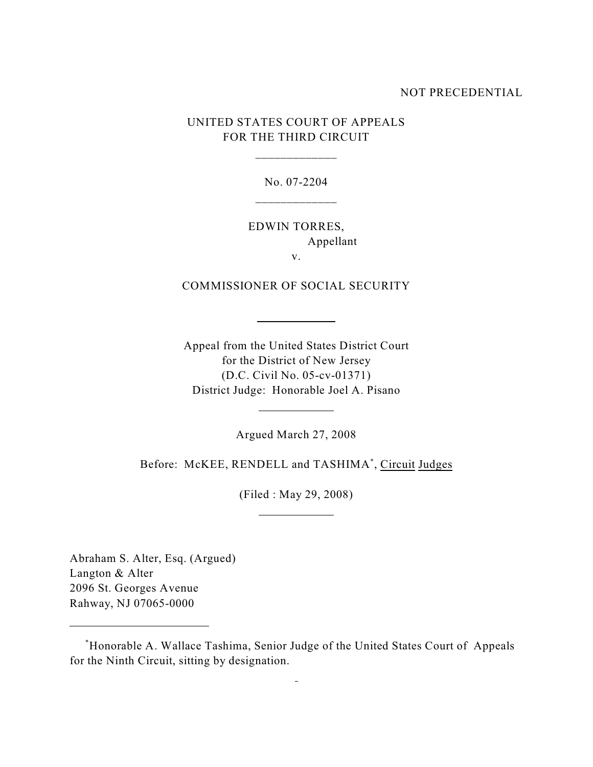### NOT PRECEDENTIAL

UNITED STATES COURT OF APPEALS FOR THE THIRD CIRCUIT

\_\_\_\_\_\_\_\_\_\_\_\_\_

No. 07-2204 \_\_\_\_\_\_\_\_\_\_\_\_\_

EDWIN TORRES, Appellant

v.

COMMISSIONER OF SOCIAL SECURITY

l

l

 $\overline{a}$ 

Appeal from the United States District Court for the District of New Jersey (D.C. Civil No. 05-cv-01371) District Judge: Honorable Joel A. Pisano

Argued March 27, 2008

Before: McKEE, RENDELL and TASHIMA<sup>\*</sup>, Circuit Judges

(Filed : May 29, 2008)

Abraham S. Alter, Esq. (Argued) Langton & Alter 2096 St. Georges Avenue Rahway, NJ 07065-0000

Honorable A. Wallace Tashima, Senior Judge of the United States Court of Appeals \* for the Ninth Circuit, sitting by designation.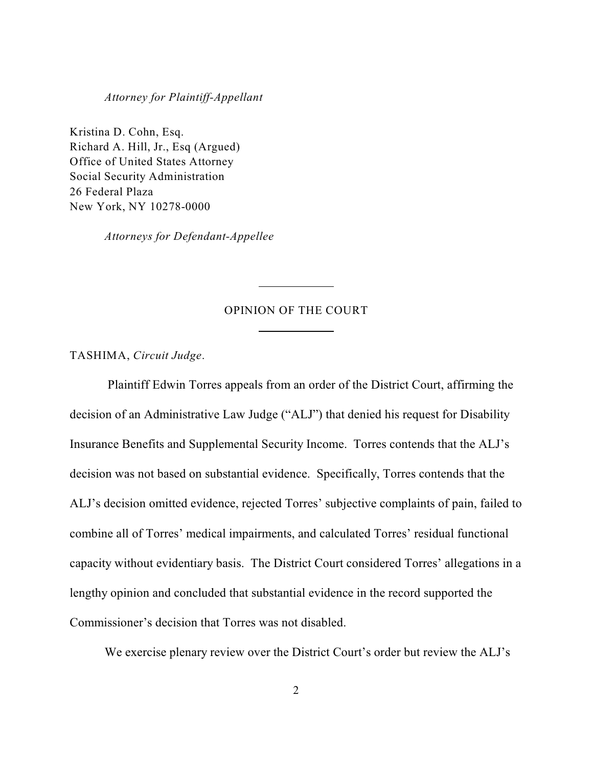#### *Attorney for Plaintiff-Appellant*

Kristina D. Cohn, Esq. Richard A. Hill, Jr., Esq (Argued) Office of United States Attorney Social Security Administration 26 Federal Plaza New York, NY 10278-0000

*Attorneys for Defendant-Appellee*

## OPINION OF THE COURT

 $\overline{a}$ 

 $\overline{a}$ 

TASHIMA, *Circuit Judge*.

 Plaintiff Edwin Torres appeals from an order of the District Court, affirming the decision of an Administrative Law Judge ("ALJ") that denied his request for Disability Insurance Benefits and Supplemental Security Income. Torres contends that the ALJ's decision was not based on substantial evidence. Specifically, Torres contends that the ALJ's decision omitted evidence, rejected Torres' subjective complaints of pain, failed to combine all of Torres' medical impairments, and calculated Torres' residual functional capacity without evidentiary basis. The District Court considered Torres' allegations in a lengthy opinion and concluded that substantial evidence in the record supported the Commissioner's decision that Torres was not disabled.

We exercise plenary review over the District Court's order but review the ALJ's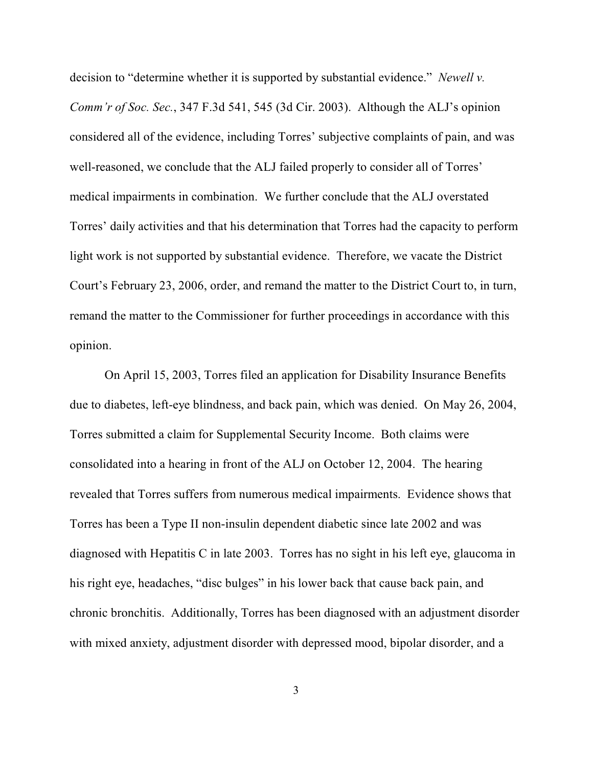decision to "determine whether it is supported by substantial evidence." *Newell v. Comm'r of Soc. Sec.*, 347 F.3d 541, 545 (3d Cir. 2003). Although the ALJ's opinion considered all of the evidence, including Torres' subjective complaints of pain, and was well-reasoned, we conclude that the ALJ failed properly to consider all of Torres' medical impairments in combination. We further conclude that the ALJ overstated Torres' daily activities and that his determination that Torres had the capacity to perform light work is not supported by substantial evidence. Therefore, we vacate the District Court's February 23, 2006, order, and remand the matter to the District Court to, in turn, remand the matter to the Commissioner for further proceedings in accordance with this opinion.

On April 15, 2003, Torres filed an application for Disability Insurance Benefits due to diabetes, left-eye blindness, and back pain, which was denied. On May 26, 2004, Torres submitted a claim for Supplemental Security Income. Both claims were consolidated into a hearing in front of the ALJ on October 12, 2004. The hearing revealed that Torres suffers from numerous medical impairments. Evidence shows that Torres has been a Type II non-insulin dependent diabetic since late 2002 and was diagnosed with Hepatitis C in late 2003. Torres has no sight in his left eye, glaucoma in his right eye, headaches, "disc bulges" in his lower back that cause back pain, and chronic bronchitis. Additionally, Torres has been diagnosed with an adjustment disorder with mixed anxiety, adjustment disorder with depressed mood, bipolar disorder, and a

3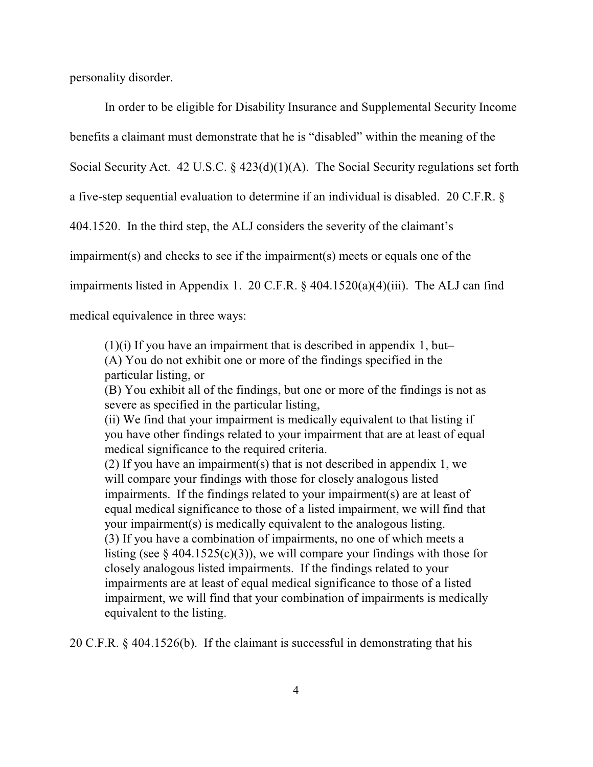personality disorder.

In order to be eligible for Disability Insurance and Supplemental Security Income benefits a claimant must demonstrate that he is "disabled" within the meaning of the Social Security Act. 42 U.S.C. § 423(d)(1)(A). The Social Security regulations set forth a five-step sequential evaluation to determine if an individual is disabled. 20 C.F.R. § 404.1520. In the third step, the ALJ considers the severity of the claimant's impairment(s) and checks to see if the impairment(s) meets or equals one of the impairments listed in Appendix 1. 20 C.F.R. § 404.1520(a)(4)(iii). The ALJ can find medical equivalence in three ways:

(1)(i) If you have an impairment that is described in appendix 1, but– (A) You do not exhibit one or more of the findings specified in the particular listing, or

(B) You exhibit all of the findings, but one or more of the findings is not as severe as specified in the particular listing,

(ii) We find that your impairment is medically equivalent to that listing if you have other findings related to your impairment that are at least of equal medical significance to the required criteria.

(2) If you have an impairment(s) that is not described in appendix 1, we will compare your findings with those for closely analogous listed impairments. If the findings related to your impairment(s) are at least of equal medical significance to those of a listed impairment, we will find that your impairment(s) is medically equivalent to the analogous listing. (3) If you have a combination of impairments, no one of which meets a listing (see  $\S$  404.1525(c)(3)), we will compare your findings with those for closely analogous listed impairments. If the findings related to your impairments are at least of equal medical significance to those of a listed impairment, we will find that your combination of impairments is medically equivalent to the listing.

20 C.F.R. § 404.1526(b). If the claimant is successful in demonstrating that his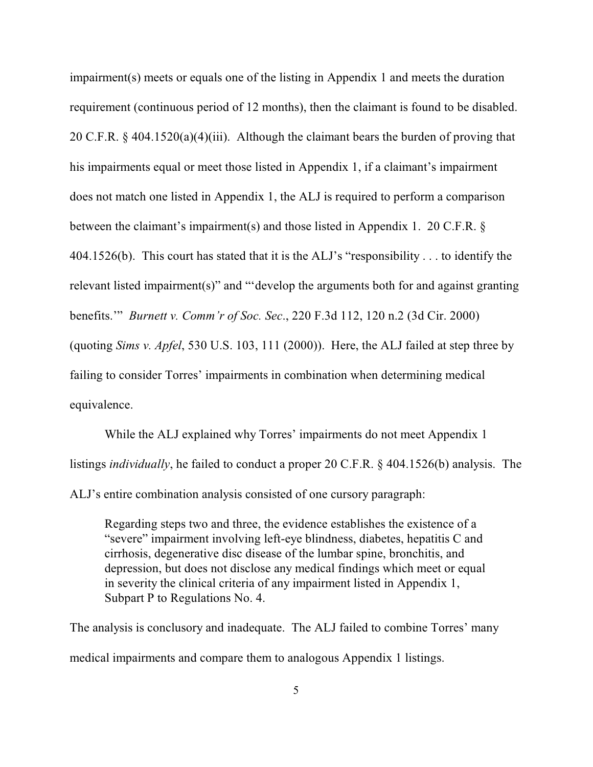impairment(s) meets or equals one of the listing in Appendix 1 and meets the duration requirement (continuous period of 12 months), then the claimant is found to be disabled. 20 C.F.R. § 404.1520(a)(4)(iii). Although the claimant bears the burden of proving that his impairments equal or meet those listed in Appendix 1, if a claimant's impairment does not match one listed in Appendix 1, the ALJ is required to perform a comparison between the claimant's impairment(s) and those listed in Appendix 1. 20 C.F.R. § 404.1526(b). This court has stated that it is the ALJ's "responsibility . . . to identify the relevant listed impairment(s)" and "'develop the arguments both for and against granting benefits.'" *Burnett v. Comm'r of Soc. Sec*., 220 F.3d 112, 120 n.2 (3d Cir. 2000) (quoting *Sims v. Apfel*, 530 U.S. 103, 111 (2000)). Here, the ALJ failed at step three by failing to consider Torres' impairments in combination when determining medical equivalence.

While the ALJ explained why Torres' impairments do not meet Appendix 1 listings *individually*, he failed to conduct a proper 20 C.F.R. § 404.1526(b) analysis. The ALJ's entire combination analysis consisted of one cursory paragraph:

Regarding steps two and three, the evidence establishes the existence of a "severe" impairment involving left-eye blindness, diabetes, hepatitis C and cirrhosis, degenerative disc disease of the lumbar spine, bronchitis, and depression, but does not disclose any medical findings which meet or equal in severity the clinical criteria of any impairment listed in Appendix 1, Subpart P to Regulations No. 4.

The analysis is conclusory and inadequate. The ALJ failed to combine Torres' many medical impairments and compare them to analogous Appendix 1 listings.

5